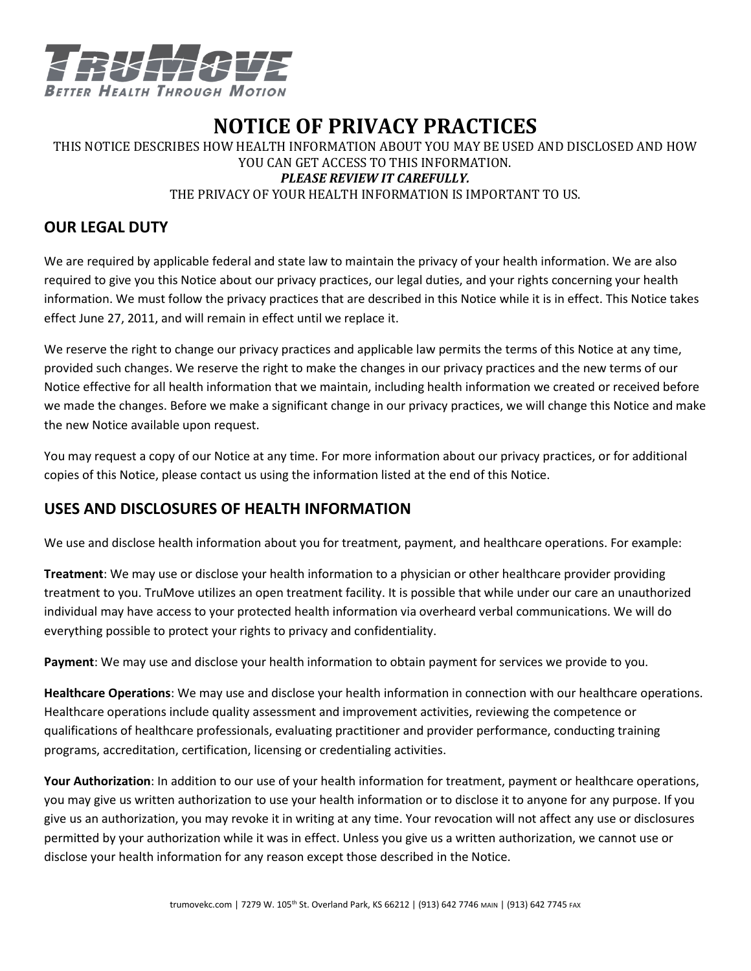

# **NOTICE OF PRIVACY PRACTICES**

#### THIS NOTICE DESCRIBES HOW HEALTH INFORMATION ABOUT YOU MAY BE USED AND DISCLOSED AND HOW YOU CAN GET ACCESS TO THIS INFORMATION. *PLEASE REVIEW IT CAREFULLY.* THE PRIVACY OF YOUR HEALTH INFORMATION IS IMPORTANT TO US.

### **OUR LEGAL DUTY**

We are required by applicable federal and state law to maintain the privacy of your health information. We are also required to give you this Notice about our privacy practices, our legal duties, and your rights concerning your health information. We must follow the privacy practices that are described in this Notice while it is in effect. This Notice takes effect June 27, 2011, and will remain in effect until we replace it.

We reserve the right to change our privacy practices and applicable law permits the terms of this Notice at any time, provided such changes. We reserve the right to make the changes in our privacy practices and the new terms of our Notice effective for all health information that we maintain, including health information we created or received before we made the changes. Before we make a significant change in our privacy practices, we will change this Notice and make the new Notice available upon request.

You may request a copy of our Notice at any time. For more information about our privacy practices, or for additional copies of this Notice, please contact us using the information listed at the end of this Notice.

## **USES AND DISCLOSURES OF HEALTH INFORMATION**

We use and disclose health information about you for treatment, payment, and healthcare operations. For example:

**Treatment**: We may use or disclose your health information to a physician or other healthcare provider providing treatment to you. TruMove utilizes an open treatment facility. It is possible that while under our care an unauthorized individual may have access to your protected health information via overheard verbal communications. We will do everything possible to protect your rights to privacy and confidentiality.

**Payment**: We may use and disclose your health information to obtain payment for services we provide to you.

**Healthcare Operations**: We may use and disclose your health information in connection with our healthcare operations. Healthcare operations include quality assessment and improvement activities, reviewing the competence or qualifications of healthcare professionals, evaluating practitioner and provider performance, conducting training programs, accreditation, certification, licensing or credentialing activities.

**Your Authorization**: In addition to our use of your health information for treatment, payment or healthcare operations, you may give us written authorization to use your health information or to disclose it to anyone for any purpose. If you give us an authorization, you may revoke it in writing at any time. Your revocation will not affect any use or disclosures permitted by your authorization while it was in effect. Unless you give us a written authorization, we cannot use or disclose your health information for any reason except those described in the Notice.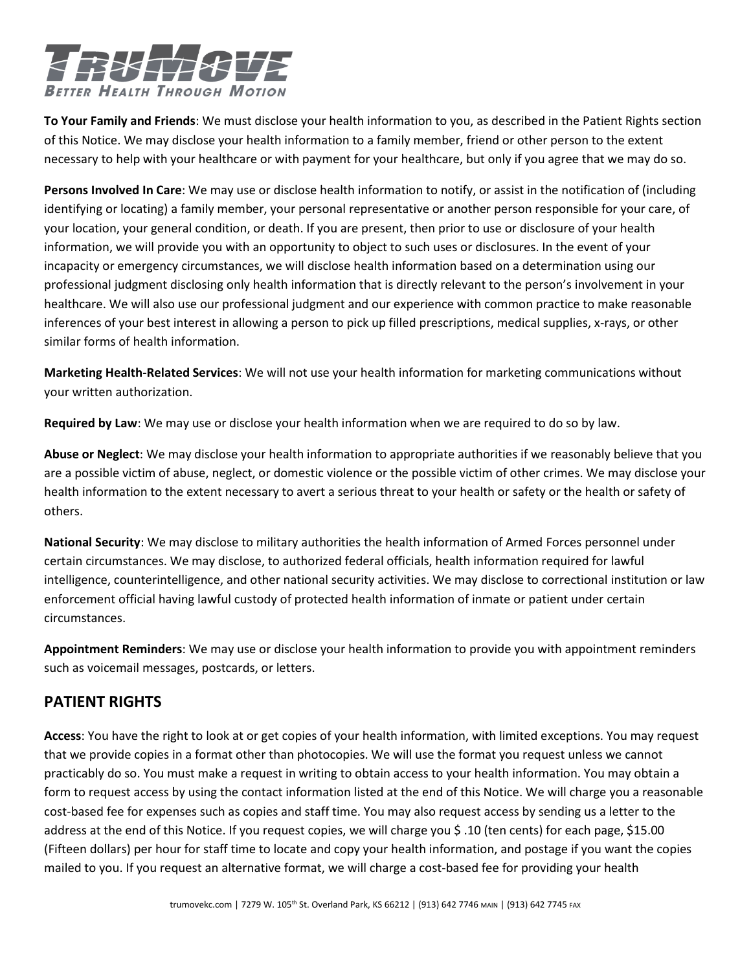

**To Your Family and Friends**: We must disclose your health information to you, as described in the Patient Rights section of this Notice. We may disclose your health information to a family member, friend or other person to the extent necessary to help with your healthcare or with payment for your healthcare, but only if you agree that we may do so.

**Persons Involved In Care**: We may use or disclose health information to notify, or assist in the notification of (including identifying or locating) a family member, your personal representative or another person responsible for your care, of your location, your general condition, or death. If you are present, then prior to use or disclosure of your health information, we will provide you with an opportunity to object to such uses or disclosures. In the event of your incapacity or emergency circumstances, we will disclose health information based on a determination using our professional judgment disclosing only health information that is directly relevant to the person's involvement in your healthcare. We will also use our professional judgment and our experience with common practice to make reasonable inferences of your best interest in allowing a person to pick up filled prescriptions, medical supplies, x-rays, or other similar forms of health information.

**Marketing Health-Related Services**: We will not use your health information for marketing communications without your written authorization.

**Required by Law**: We may use or disclose your health information when we are required to do so by law.

**Abuse or Neglect**: We may disclose your health information to appropriate authorities if we reasonably believe that you are a possible victim of abuse, neglect, or domestic violence or the possible victim of other crimes. We may disclose your health information to the extent necessary to avert a serious threat to your health or safety or the health or safety of others.

**National Security**: We may disclose to military authorities the health information of Armed Forces personnel under certain circumstances. We may disclose, to authorized federal officials, health information required for lawful intelligence, counterintelligence, and other national security activities. We may disclose to correctional institution or law enforcement official having lawful custody of protected health information of inmate or patient under certain circumstances.

**Appointment Reminders**: We may use or disclose your health information to provide you with appointment reminders such as voicemail messages, postcards, or letters.

#### **PATIENT RIGHTS**

**Access**: You have the right to look at or get copies of your health information, with limited exceptions. You may request that we provide copies in a format other than photocopies. We will use the format you request unless we cannot practicably do so. You must make a request in writing to obtain access to your health information. You may obtain a form to request access by using the contact information listed at the end of this Notice. We will charge you a reasonable cost-based fee for expenses such as copies and staff time. You may also request access by sending us a letter to the address at the end of this Notice. If you request copies, we will charge you \$ .10 (ten cents) for each page, \$15.00 (Fifteen dollars) per hour for staff time to locate and copy your health information, and postage if you want the copies mailed to you. If you request an alternative format, we will charge a cost-based fee for providing your health